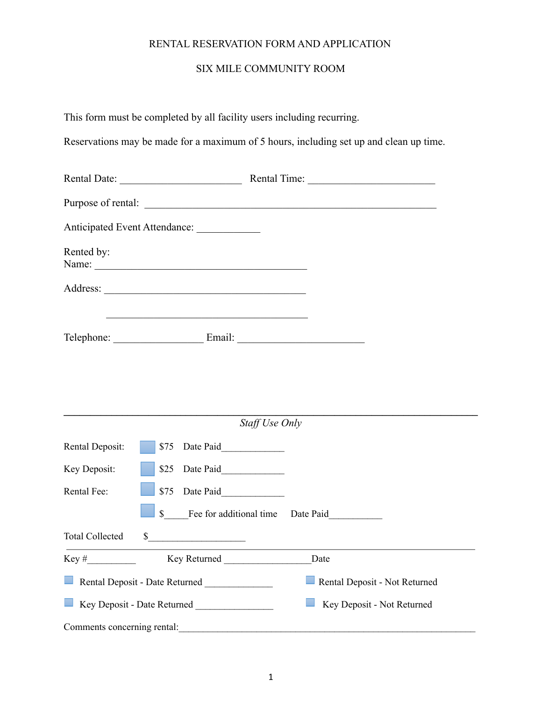## RENTAL RESERVATION FORM AND APPLICATION

## SIX MILE COMMUNITY ROOM

|                             | This form must be completed by all facility users including recurring.               |                                                                                        |
|-----------------------------|--------------------------------------------------------------------------------------|----------------------------------------------------------------------------------------|
|                             |                                                                                      | Reservations may be made for a maximum of 5 hours, including set up and clean up time. |
|                             |                                                                                      |                                                                                        |
|                             |                                                                                      |                                                                                        |
|                             | Anticipated Event Attendance:                                                        |                                                                                        |
| Rented by:                  | Name:                                                                                |                                                                                        |
|                             |                                                                                      |                                                                                        |
|                             | <u> 1989 - Johann Barbara, martxa amerikan bashkar (</u><br>Telephone: Email: Email: |                                                                                        |
|                             | Staff Use Only                                                                       |                                                                                        |
| Rental Deposit:             |                                                                                      |                                                                                        |
| Key Deposit:                |                                                                                      |                                                                                        |
| Rental Fee:                 | \$75<br>Date Paid                                                                    |                                                                                        |
|                             | $\mathbb{S}$<br>Fee for additional time                                              | Date Paid                                                                              |
| <b>Total Collected</b>      | $\sim$                                                                               |                                                                                        |
|                             |                                                                                      | Date                                                                                   |
|                             | Rental Deposit - Date Returned                                                       | Rental Deposit - Not Returned                                                          |
|                             |                                                                                      | Key Deposit - Not Returned                                                             |
| Comments concerning rental: |                                                                                      |                                                                                        |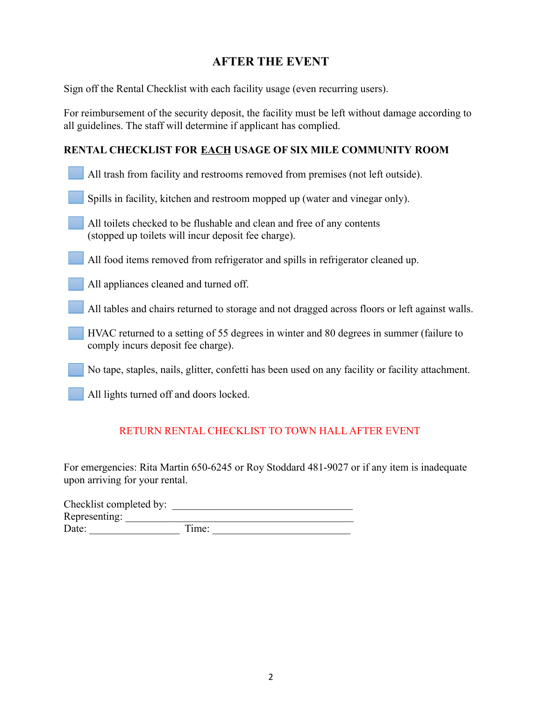# **AFTER THE EVENT**

Sign off the Rental Checklist with each facility usage (even recurring users).

For reimbursement of the security deposit, the facility must be left without damage according to all guidelines. The staff will determine if applicant has complied.

## **RENTAL CHECKLIST FOR EACH USAGE OF SIX MILE COMMUNITY ROOM**

| All trash from facility and restrooms removed from premises (not left outside). |
|---------------------------------------------------------------------------------|
|                                                                                 |

- Spills in facility, kitchen and restroom mopped up (water and vinegar only).
- All toilets checked to be flushable and clean and free of any contents (stopped up toilets will incur deposit fee charge).

All food items removed from refrigerator and spills in refrigerator cleaned up.

All appliances cleaned and turned off.

All tables and chairs returned to storage and not dragged across floors or left against walls.

- HVAC returned to a setting of 55 degrees in winter and 80 degrees in summer (failure to comply incurs deposit fee charge).
- No tape, staples, nails, glitter, confetti has been used on any facility or facility attachment.
- All lights turned off and doors locked.

## RETURN RENTAL CHECKLIST TO TOWN HALL AFTER EVENT

For emergencies: Rita Martin 650-6245 or Roy Stoddard 481-9027 or if any item is inadequate upon arriving for your rental.

| Checklist completed by: |       |  |
|-------------------------|-------|--|
| Representing:           |       |  |
| Date:                   | Time: |  |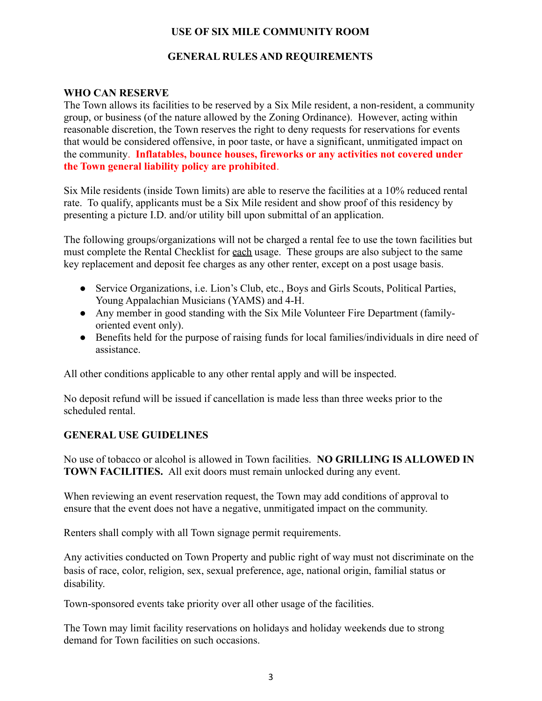## **USE OF SIX MILE COMMUNITY ROOM**

#### **GENERAL RULES AND REQUIREMENTS**

#### **WHO CAN RESERVE**

The Town allows its facilities to be reserved by a Six Mile resident, a non-resident, a community group, or business (of the nature allowed by the Zoning Ordinance). However, acting within reasonable discretion, the Town reserves the right to deny requests for reservations for events that would be considered offensive, in poor taste, or have a significant, unmitigated impact on the community. **Inflatables, bounce houses, fireworks or any activities not covered under the Town general liability policy are prohibited**.

Six Mile residents (inside Town limits) are able to reserve the facilities at a 10% reduced rental rate. To qualify, applicants must be a Six Mile resident and show proof of this residency by presenting a picture I.D. and/or utility bill upon submittal of an application.

The following groups/organizations will not be charged a rental fee to use the town facilities but must complete the Rental Checklist for each usage. These groups are also subject to the same key replacement and deposit fee charges as any other renter, except on a post usage basis.

- Service Organizations, i.e. Lion's Club, etc., Boys and Girls Scouts, Political Parties, Young Appalachian Musicians (YAMS) and 4-H.
- Any member in good standing with the Six Mile Volunteer Fire Department (familyoriented event only).
- Benefits held for the purpose of raising funds for local families/individuals in dire need of assistance.

All other conditions applicable to any other rental apply and will be inspected.

No deposit refund will be issued if cancellation is made less than three weeks prior to the scheduled rental.

#### **GENERAL USE GUIDELINES**

No use of tobacco or alcohol is allowed in Town facilities. **NO GRILLING IS ALLOWED IN TOWN FACILITIES.** All exit doors must remain unlocked during any event.

When reviewing an event reservation request, the Town may add conditions of approval to ensure that the event does not have a negative, unmitigated impact on the community.

Renters shall comply with all Town signage permit requirements.

Any activities conducted on Town Property and public right of way must not discriminate on the basis of race, color, religion, sex, sexual preference, age, national origin, familial status or disability.

Town-sponsored events take priority over all other usage of the facilities.

The Town may limit facility reservations on holidays and holiday weekends due to strong demand for Town facilities on such occasions.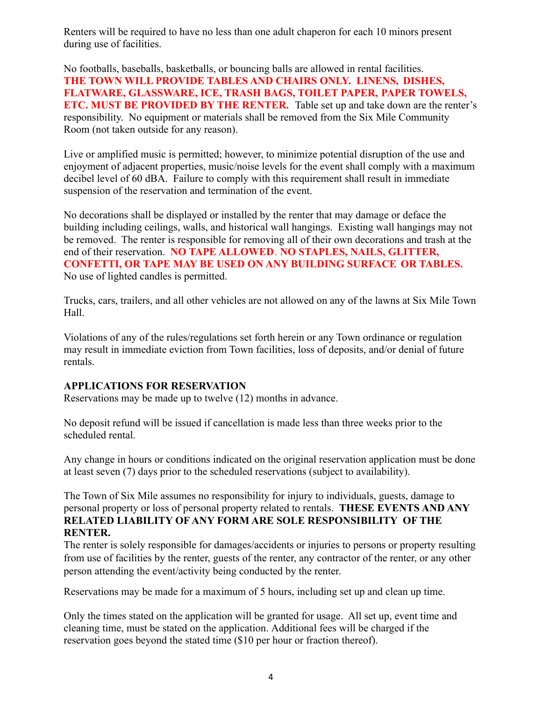Renters will be required to have no less than one adult chaperon for each 10 minors present during use of facilities.

No footballs, baseballs, basketballs, or bouncing balls are allowed in rental facilities. **THE TOWN WILL PROVIDE TABLES AND CHAIRS ONLY. LINENS, DISHES, FLATWARE, GLASSWARE, ICE, TRASH BAGS, TOILET PAPER, PAPER TOWELS, ETC. MUST BE PROVIDED BY THE RENTER.** Table set up and take down are the renter's responsibility. No equipment or materials shall be removed from the Six Mile Community Room (not taken outside for any reason).

Live or amplified music is permitted; however, to minimize potential disruption of the use and enjoyment of adjacent properties, music/noise levels for the event shall comply with a maximum decibel level of 60 dBA. Failure to comply with this requirement shall result in immediate suspension of the reservation and termination of the event.

No decorations shall be displayed or installed by the renter that may damage or deface the building including ceilings, walls, and historical wall hangings. Existing wall hangings may not be removed. The renter is responsible for removing all of their own decorations and trash at the end of their reservation. **NO TAPE ALLOWED**. **NO STAPLES, NAILS, GLITTER, CONFETTI, OR TAPE MAY BE USED ON ANY BUILDING SURFACE OR TABLES.** No use of lighted candles is permitted.

Trucks, cars, trailers, and all other vehicles are not allowed on any of the lawns at Six Mile Town Hall.

Violations of any of the rules/regulations set forth herein or any Town ordinance or regulation may result in immediate eviction from Town facilities, loss of deposits, and/or denial of future rentals.

#### **APPLICATIONS FOR RESERVATION**

Reservations may be made up to twelve (12) months in advance.

No deposit refund will be issued if cancellation is made less than three weeks prior to the scheduled rental.

Any change in hours or conditions indicated on the original reservation application must be done at least seven (7) days prior to the scheduled reservations (subject to availability).

The Town of Six Mile assumes no responsibility for injury to individuals, guests, damage to personal property or loss of personal property related to rentals. **THESE EVENTS AND ANY RELATED LIABILITY OF ANY FORM ARE SOLE RESPONSIBILITY OF THE RENTER.**

The renter is solely responsible for damages/accidents or injuries to persons or property resulting from use of facilities by the renter, guests of the renter, any contractor of the renter, or any other person attending the event/activity being conducted by the renter.

Reservations may be made for a maximum of 5 hours, including set up and clean up time.

Only the times stated on the application will be granted for usage. All set up, event time and cleaning time, must be stated on the application. Additional fees will be charged if the reservation goes beyond the stated time (\$10 per hour or fraction thereof).